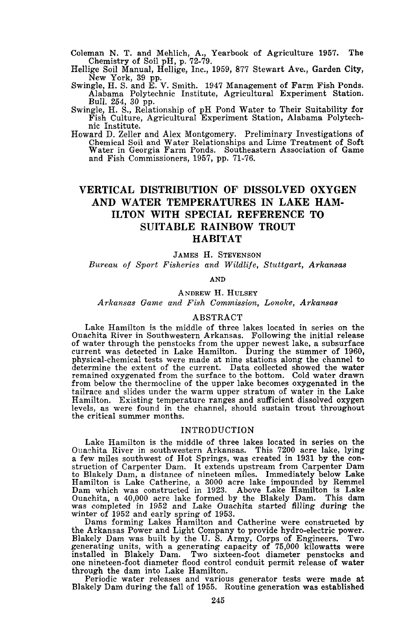Coleman N. T. and Mehlich, A., Yearbook of Agriculture 1957. The Chemistry of Soil pH, p. 72-79.

HeIlige Soil Manual, HeIlige, Inc., 1959, 877 Stewart Ave., Garden City, New York, 39 pp. Swingle, H. S. and E. V. Smith. 1947 Management of Farm Fish Ponds.

Alabama Polytechnic Institute, Agricultural Experiment Station. Bull. 254, 30 pp.

Swingle, H. S., Relationship of pH Pond Water to Their Suitability for Fish Culture, Agricultural Experiment Station, Alabama Polytechnic Institute.

Howard D. Zeller and Alex Montgomery. Preliminary Investigations of Chemical Soil and Water Relationships and Lime Treatment of Soft Water in Georgia Farm Ponds. Southeastern Association of Game and Fish Commissioners, 1957, pp. 71-76.

# **VERTICAL DISTRIBUTION OF DISSOLVED OXYGEN AND WATER TEMPERATURES IN LAKE HAM-ILTON WITH SPECIAL REFERENCE TO SUITABLE RAINBOW TROUT HABITAT**

JAMES H. STEVENSON

*Bureau of Sport Fisheries and Wildlife, Stuttgart, Arkansas*

AND

ANDREW H. HULSEY *A rkansas Game and Fish Commission, Lonoke, Arkansas*

### ABSTRACT

Lake Hamilton is the middle of three lakes located in series on the Ouachita River in Southwestern Arkansas. Following the initial release of water through the penstocks from the upper newest lake, a subsurface current was detected in Lake Hamilton. During the summer of 1960, physical-chemical tests were made at nine stations along the channel to determine the extent of the current. Data collected showed the water remained oxygenated from the surface to the bottom. Cold water drawn from below the thermocline of the upper lake becomes oxygenated in the tailrace and slides under the warm upper stratum of water in the Lake Hamilton. Existing temperature ranges and sufficient dissolved oxygen levels, as were found in the channel, should sustain trout throughout the critical summer months.

### INTRODUCTION

Lake Hamilton is the middle of three lakes located in series on the Ouachita River in southwestern Arkansas. This 7200 acre lake, lying a few miles southwest of Hot Springs, was created in 1931 by the construction of Carpenter Dam. It extends upstream from Carpenter Dam to Blakely Dam, a distance of nineteen miles. Immediately below Lake Hamilton is Lake Catherine, a 3000 acre lake impounded by Remmel Dam which was constructed in 1923. Above Lake Hamilton is Lake Ouachita, a 40,000 acre lake formed by the Blakely Dam. This dam was completed in 1952 and Lake Ouachita started filling during the winter of 1952 and early sp

Dams forming Lakes Hamilton and Catherine were constructed by the Arkansas Power and Light Company to provide hydro-electric power. Blakely Dam was built by the U. S. Army, Corps of Engineers. Two generating units, with <sup>a</sup> generating capacity of 75,000 kilowatts were installed in Blakely Dam. Two sixteen-foot diameter penstocks and one nineteen-foot diameter flood control conduit permit release of water through the dam into Lake Hamilton.

Periodic water releases and various generator tests were made at Blakely Dam during the fall of 1955. Routine generation was established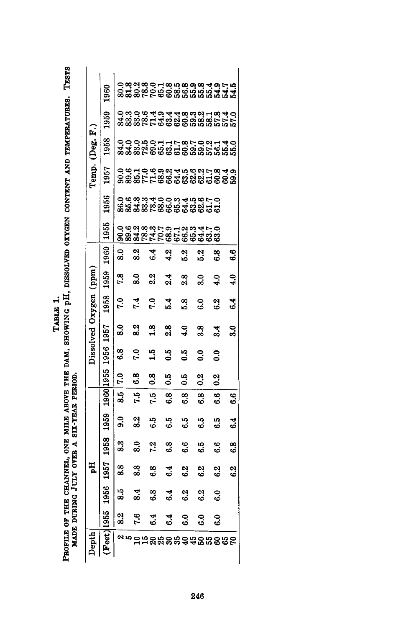Table 1.<br>Profile of the Channel, one mile above the dam, showing pH, dissolved oxygen content and temperatures. Tests<br>Made during July over a six-year period. PROFILE OF THE CHANNEL, ONE MILE ABOVE THE DAM, SHOWING pH, DISSOLVED OXYGEN CONTENT AND TEMPERATURES. TESTS

MADE DURING JULY OVER A SIX-YEAR PERIOD.

|                       | <b>960</b>   |
|-----------------------|--------------|
|                       | 1959<br>1958 |
|                       | 1957         |
|                       | 1956         |
|                       | 1955         |
|                       | 1960         |
|                       | 1959         |
|                       | 1958         |
| Dissolved Oxygen (ppm | 1957         |
|                       | 1956         |
|                       | 1955         |
|                       | 1960         |
|                       | 1959         |
|                       | 1958         |
| Hq                    | 1957         |
|                       | 1956         |
|                       | 955          |
| $\mathbf{Dend}$       | Feet         |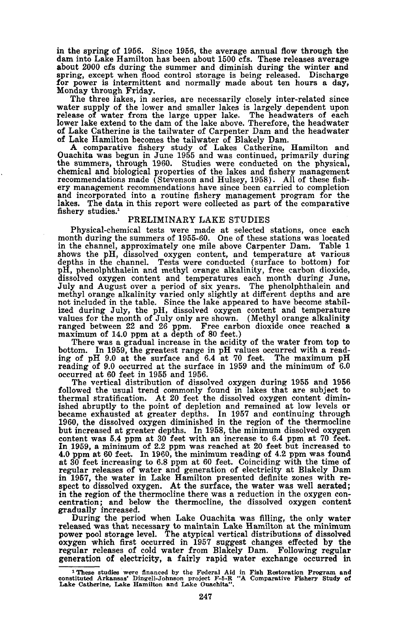in the spring of 1956. Since 1956, the average annual flow through the dam into Lake Hamilton has been about 1500 cfs. These releases average about 2000 cfs during the summer and diminish during the winter and spring, except when flood control storage is being released. Discharge for power is intermittent and normally made about ten hours a day, Monday through Friday.

The three lakes, in series, are necessarily closely inter-related since water supply of the lower and smaller lakes is largely.dependent upon release of water from the large upper lake. The headwaters of each lower lake extend to the dam of the lake above. Therefore, the headwater of Lake Catherine is the tailwater of Carpenter Dam and the headwater of Lake Hamilton becomes the tailwater of Blakely Dam.

A comparative fishery study of Lakes Catherine, Hamilton and Ouachita was begun in June 1955 and was continued, primarily during the summers, through 1960. Studies were conducted on the physical, chemical and biological properties of the lakes and fishery management recommendations made (Stevenson and Hulsey, 1958). All of these fishery management recommendations have since been carried to completion and incorporated into a routine fishery management program for the lakes. The data in this report were collected as part of the comparative fishery studies.'

#### PRELIMINARY LAKE STUDIES

Physical-chemical tests were made at selected stations, once each month during the summers of 1955-60. One of these stations was located in the channel, approximately one mile above Carpenter Dam. Table 1 shows the pH, dissolved oxygen content, and temperature at various depths in the channel. Tests were conducted (surface to bottom) for pH, phenolphthalein and methyl orange alkalinity, free carbon dioxide, dissolved oxygen content and temperatures each month during June, July and August over a period of six years. The phenolphthalein and methyl orange alkalinity varied only slightly at different depths and are not included in the table. Since the lake appeared to have become stabilized during July, the pH, dissolved oxygen content and temperature values for the month of July only are shown. (Methyl orange alkalinity ranged between <sup>22</sup> and <sup>26</sup> ppm. Free carbon dioxide once reached <sup>a</sup> maximum of 14.0 ppm at <sup>a</sup> depth of <sup>80</sup> feet.)

There was a gradual increase in the acidity of the water from top to bottom. In 1959, the greatest range in pH values occurred with a read-ing of pH 9.0 at the surface and 6.4 at 70 feet. The maximum pH reading of 9.0 occurred at the surface in 1959 and the minimum of 6.0 occurred at 60 feet in 1955 and 1956.

The vertical distribution of dissolved oxygen during 1955 and 1956 followed the usual trend commonly found in lakes that are subject to thermal stratification. At 20 feet the dissolved oxygen content dimin-<br>ished abruptly to the point of depletion and remained at low levels or<br>became exhausted at greater depths. In 1957 and continuing through<br>1960, the dis but increased at greater depths. In 1958, the minimum dissolved oxygen content was 5.4 ppm at 30 feet with an increase to 6.4 ppm at 70 feet. In 1959, a minimum of 2.2 ppm was reached at 20 feet but increased to 4.0 ppm at 60 feet. In 1960, the minimum reading of 4.2 ppm was found at 30 feet increasing to 6.8 ppm at 60 feet. Coinciding with the time of regular releases of water and generation of electricity at Blakely Dam in 1957, the water in Lake Hamilton presented definite zones with re- spect to dissolved oxygen. At the surface, the water was well aerated; in the region of the thermocline there was <sup>a</sup> reduction in the oxygen con- centration; and below the thermocline, the dissolved oxygen content gradually increased.

During the period when Lake Ouachita was filling, the only water released was that necessary to maintain Lake Hamilton at the minimum power pool storage level. The atypical vertical distributions of dissolved oxygen which first occurred in 1957 suggest changes effected by the regular releases of cold water from Blakely Dam. Following regular generation of electricity, a fairly rapid water exchange occurred in

<sup>1</sup> These studies were financed by the Federal Aid in Fish Restoration Program and constituted Arkansas' DingelI-Johnson project F-5-R "A Comparative Fishery Study of Lake Catherine. Lake Hamilton and Lake Ouachita...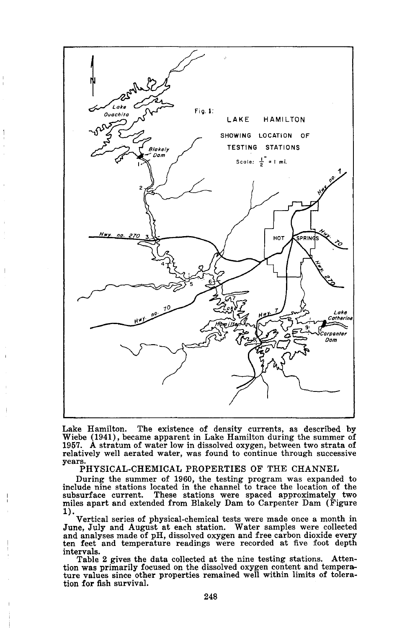

Lake Hamilton. The existence of density currents, as described by Wiebe (1941), became apparent in Lake Hamilton during the summer of 1957. A stratum of water low in dissolved oxygen, between two strata of relatively well aerated water, was found to continue through successive years.

PHYSICAL-CHEMICAL PROPERTIES OF THE CHANNEL

During the summer of 1960, the testing program was expanded to include nine stations located in the channel to trace the location of the subsurface current. These stations were spaced approximately two miles apart and extended from Blakely Dam to Carpenter Dam (Figure 1). Vertical series of physical-chemical tests were made once <sup>a</sup> month in

June, July and August at each station. Water samples were collected and analyses made of pH, dissolved oxygen and free carbon dioxide every ten feet and temperature readings were recorded at five foot depth intervals.

Table 2 gives the data collected at the nine testing stations. Attention was primarily focused on the dissolved oxygen content and temperature values since other properties remained well within limits of toleration for fish survival.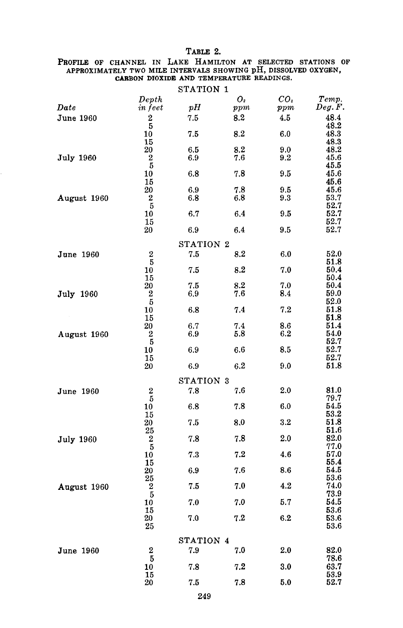# TABLE 2.

# PROFILE OF CHANNEL IN LAKE HAMILTON AT SELECTED STATIONS OF APPROXIMATELY TWO MILE INTERVALS SHOWING pH, DISSOLVED OXYGEN, CARBON DIOXIDE AND TEMPERATURE READINGS.  $CDAMI$

ï

|                  |                  | STATION 1 |         |                 |           |
|------------------|------------------|-----------|---------|-----------------|-----------|
|                  | Depth            |           | Ο,      | CO <sub>2</sub> | Temp.     |
| Date             | in feet          | pH        | ppm     | $_{ppm}$        | Deg. F.   |
|                  |                  |           | 8.2     |                 |           |
| June 1960        | 2                | 7.5       |         | 4.5             | 48.4      |
|                  | 5                |           |         |                 | 48.2      |
|                  | 10               | 7.5       | 8.2     | 6.0             | 48.3      |
|                  | 15               |           |         |                 | 48.3      |
|                  | 20               | 6.5       | 8.2     | 9.0             | 48.2      |
| <b>July 1960</b> | $\overline{2}$   | 6.9       | 7.6     | 9.2             | 45.6      |
|                  | -5               |           |         |                 | 45.5      |
|                  | 10               | 6.8       | 7.8     | 9.5             | 45.6      |
|                  | 15               |           |         |                 | 45.6      |
|                  | 20               | 6.9       | 7.8     | 9.5             | 45.6      |
| August 1960      | 2                | 6.8       | 6.8     | 9.3             | 53.7      |
|                  | $\overline{5}$   |           |         |                 | 52.7      |
|                  | 10               | 6.7       | 6.4     | 9.5             | 52.7      |
|                  | 15               |           |         |                 | 52.7      |
|                  | 20               |           |         | 9.5             | 52.7      |
|                  |                  | 6.9       | 6.4     |                 |           |
|                  |                  | STATION 2 |         |                 |           |
| June 1960        | 2                | 7.5       | 8.2     | 6.0             | $^{52.0}$ |
|                  | 5                |           |         |                 | 51.8      |
|                  | 10               | 7.5       | $8.2\,$ | 7.0             | 50.4      |
|                  | 15               |           |         |                 | 50.4      |
|                  | 20               | 7.5       | 8.2     | 7.0             | 50.4      |
|                  | 2                | 6.9       | 7.6     | 8.4             | 59.0      |
| July 1960        |                  |           |         |                 | 52.0      |
|                  | $\overline{5}$   |           |         |                 |           |
|                  | 10               | 6.8       | 7.4     | 7.2             | 51.8      |
|                  | 15               |           |         |                 | 51.8      |
|                  | 20               | 6.7       | 7.4     | 8.6             | 51.4      |
| August 1960      | 2                | 6.9       | 5.8     | $6.2\,$         | 54.0      |
|                  | 5                |           |         |                 | 52.7      |
|                  | 10               | 6.9       | 6.6     | 8.5             | 52.7      |
|                  | 15               |           |         |                 | 52.7      |
|                  | 20               | 6.9       | 6.2     | 9.0             | 51.8      |
|                  |                  |           |         |                 |           |
|                  |                  | STATION 3 |         |                 |           |
| June 1960        | $\boldsymbol{2}$ | 7.8       | 7.6     | 2.0             | 81.0      |
|                  | 5                |           |         |                 | 79.7      |
|                  | 10               | 6.8       | 7.8     | 6.0             | 54.5      |
|                  | 15               |           |         |                 | 53.2      |
|                  | 20               | 7.5       | 0.8     | $3.2\,$         | 51.8      |
|                  | 25               |           |         |                 | 51.6      |
| <b>July 1960</b> | $\boldsymbol{2}$ | 7.8       | 7.8     | 2.0             | 82.0      |
|                  | 5                |           |         |                 | 77.0      |
|                  | 10               | 7.3       | 7.2     | 4.6             | 57.0      |
|                  |                  |           |         |                 | 55.4      |
|                  | 15               |           |         |                 |           |
|                  | 20               | 6.9       | 7.6     | 8.6             | 54.5      |
|                  | 25               |           |         |                 | $_{53.6}$ |
| August 1960      | 2                | 7.5       | 7.0     | 4.2             | 74.0      |
|                  | $\overline{5}$   |           |         |                 | 73.9      |
|                  | 10               | 7.0       | 7.0     | 5.7             | 54.5      |
|                  | 15               |           |         |                 | 53.6      |
|                  | 20               | 7.0       | 7.2     | 6.2             | 53.6      |
|                  | 25               |           |         |                 | 53.6      |
|                  |                  | STATION 4 |         |                 |           |
|                  |                  |           |         |                 |           |
| June 1960        | 2                | 7.9       | 7.0     | 2.0             | 82.0      |
|                  | 5                |           |         |                 | 78.6      |
|                  | 10               | 7.8       | 7.2     | 3.0             | 63.7      |
|                  | 15               |           |         |                 | 53.9      |
|                  | 20               | 7.5       | 7.8     | 5.0             | 52.7      |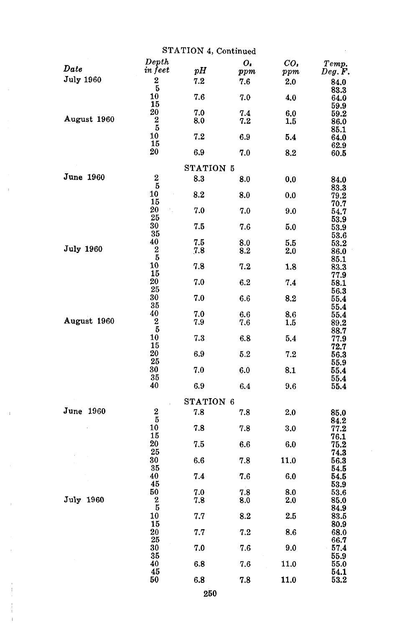|                  |                             | STATION 4, Continued |                          |                 |                       |
|------------------|-----------------------------|----------------------|--------------------------|-----------------|-----------------------|
| Date             | Depth<br>in feet            | pH                   | $\bm{o}_{\bm{i}}$<br>ppm | $co_{i}$<br>ppm | Temp.<br>Deg. F.      |
| <b>July 1960</b> | 2<br>5                      | 7.2                  | 7.6                      | 2.0             | 84.0<br>83.3          |
|                  | 10<br>15                    | 7.6                  | 7.0                      | 4.0             | 64.0<br>59.9          |
| August 1960      | 20<br>$\boldsymbol{2}$      | 7.0<br>8.0           | 7.4<br>7.2               | 6,0<br>1.5      | 59.2<br>86.0          |
|                  | 5<br>10<br>15               | 7.2                  | 6.9                      | 5.4             | 85.1<br>64.0          |
|                  | 20                          | 6.9                  | 7.0                      | 8.2             | 62.9<br>60.5          |
|                  |                             | STATION 5            |                          |                 |                       |
| June 1960        | $\boldsymbol{2}$<br>5       | 8.3                  | 8.0                      | 0.0             | 84.0<br>83.3          |
|                  | 10<br>15                    | 8.2                  | 8.0                      | 0.0             | 79.2<br>70.7          |
|                  | 20<br>25                    | 7.0                  | 7.0                      | 9.0             | 54.7<br>53.9          |
|                  | 30<br>35                    | 7.5                  | 7.6                      | 5.0             | 53.9<br>$_{\rm 53.6}$ |
| <b>July 1960</b> | 40<br>$\boldsymbol{2}$<br>5 | 7.5<br>7.8           | 8.0<br>8.2               | 5.5<br>2.0      | 53.2<br>86.0          |
|                  | 10<br>15                    | 7.8                  | 7.2                      | 1.8             | 85.1<br>83.3<br>77.9  |
|                  | 20<br>25                    | 7.0                  | 6.2                      | 7.4             | 58.1<br>56.3          |
|                  | 30<br>35                    | 7.0                  | 6.6                      | 8.2             | 55.4<br>55.4          |
| August 1960      | 40<br>2                     | 7.0<br>7.9           | 6.6<br>7.6               | 8.6<br>1.5      | 55.4<br>89.2          |
|                  | 5<br>10<br>15               | 7.3                  | 6.8                      | 5.4             | 88.7<br>77.9          |
|                  | 20<br>25                    | 6.9                  | 5.2                      | 7.2             | 72.7<br>56.3<br>55.9  |
|                  | 30<br>35                    | 7.0                  | 6.0                      | 8.1             | 55.4<br>55.4          |
|                  | 40                          | 6.9                  | 6.4                      | 9.6             | 55.4                  |
|                  |                             | STATION 6            |                          |                 |                       |
| June 1960        | 2<br>5                      | 7.8                  | 7.8                      | 2.0             | 85.0<br>84.2          |
|                  | 10<br>15<br>20              | 7.8<br>7.5           | 7.8<br>6.6               | 3.0<br>6.0      | 77.2<br>76.1          |
|                  | 25<br>30                    | 6.6                  | 7.8                      | 11.0            | 75.2<br>74.3<br>56.3  |
|                  | 35<br>40                    | $\bf 7.4$            | 7.6                      | 6.0             | 54.5<br>54.5          |
|                  | 45<br>50                    | 7.0                  | 7.8                      | 8.0             | 53.9<br>53.6          |
| July 1960        | $\boldsymbol{2}$<br>5       | 7.8                  | 8.0                      | 2.0             | 85.0<br>84.9          |
|                  | 10<br>15                    | 7.7                  | 8.2                      | 2.5             | 83.5<br>80.9          |
|                  | 20<br>25<br>30              | 7.7<br>7.0           | 7.2<br>7.6               | 8.6<br>9.0      | 68.0<br>66.7<br>57.4  |
|                  | 35<br>40                    | 6.8                  | 7.6                      | 11.0            | 55.9<br>55.0          |
|                  | 45<br>50                    | 6.8                  | 7.8                      | 11.0            | 54.1<br>53.2          |
|                  |                             |                      |                          |                 |                       |

 $\bar{b}$ 

 $\rightarrow$ 

l,

 $\overline{1}$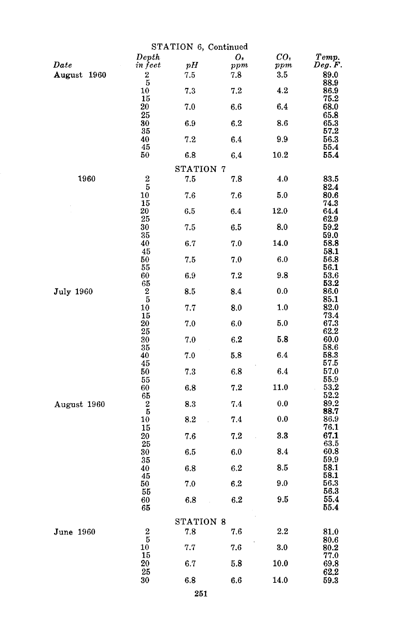|                  | STATION 6, Continued        |           |         |                 |                       |  |
|------------------|-----------------------------|-----------|---------|-----------------|-----------------------|--|
|                  | Depth                       |           | о.      | co <sub>2</sub> | Temp.                 |  |
| Date             | in feet                     | pH        | ppm     | ppm             | Deg. F.               |  |
| August 1960      | $\frac{2}{5}$               | 7.5       | 7.8     | 3.5             | 89.0<br>88.9          |  |
|                  | 10                          | 7.3       | 7.2     | 4.2             | 86.9                  |  |
|                  | 15<br>20                    | 7.0       | $6.6\,$ | 6.4             | 75.2<br>68.0          |  |
|                  | 25<br>30<br>35              | 6.9       | 6.2     | 8.6             | 65.8<br>65.3<br>57.2  |  |
|                  | 40                          | 7.2       | 6.4     | 9.9             | 56.3                  |  |
|                  | 45<br>50                    | 6.8       | 6.4     | 10.2            | 55.4<br>55.4          |  |
|                  |                             | STATION 7 |         |                 |                       |  |
| 1960             | $\frac{2}{5}$               | 7.5       | 7.8     | 4.0             | 83.5                  |  |
|                  | 10                          | 7.6       | 7.6     | 5.0             | 82.4<br>80.6          |  |
|                  | $\overline{15}$<br>20<br>25 | $6.5\,$   | 6.4     | 12.0            | 74.3<br>64.4<br>62.9  |  |
|                  | 30                          | 7.5       | 6.5     | 8.0             | 59.2                  |  |
|                  | 35<br>40                    | 6.7       | 7.0     | 14.0            | 59.0<br>58.8          |  |
|                  | 45<br>50                    | 7.5       | 7.0     | 6.0             | 58.1<br>56.8          |  |
|                  | 55<br>60                    | 6.9       | 7.2     | 9.8             | 56.1<br>$_{\rm 53.6}$ |  |
| <b>July 1960</b> | 65<br>$\frac{2}{5}$         | 8.5       | 8.4     | 0.0             | 53.2<br>86.0          |  |
|                  | 10                          | 7.7       | 8.0     | 1.0             | 85.1<br>82.0          |  |
|                  | 15<br>20                    | 7.0       | 6.0     | 5.0             | 73.4<br>67.3          |  |
|                  | 25<br>30                    | 7.0       | 6.2     | 5.8             | 62.2<br>60.0          |  |
|                  | 35<br>40                    | 7.0       | 5.8     | 6.4             | 58.6<br>58.3          |  |
|                  | 45<br>50                    | 7.3       | 6.8     | 6.4             | 57.5<br>57.0          |  |
|                  | 55<br>60                    | 6.8       | 7.2     | 11.0            | 55.9<br>53.2          |  |
| August 1960      | 65<br>$\boldsymbol{2}$      | 8.3       | 7.4     | 0.0             | 52.2<br>89.2          |  |
|                  | $\overline{5}$<br>10        | 8.2       | 7.4     | 0.0             | 88.7<br>86.9          |  |
|                  | 15<br>20                    | 7.6       | 7.2     | 3.3             | 76.1<br>67.1          |  |
|                  | 25<br>30                    | 6.5       | 6.0     | 8.4             | 63.5<br>60.8          |  |
|                  | 35<br>40                    | 6.8       | 6.2     | 8.5             | 59.9<br>58.1          |  |
|                  | 45<br>50                    | 7.0       | 6.2     | 9.0             | 58.1<br>56.3          |  |
|                  | 55<br>60                    | 6.8       | 6.2     | 9.5             | 56.3<br>55.4          |  |
|                  | 65                          |           |         |                 | 55.4                  |  |
|                  |                             | STATION 8 |         |                 |                       |  |
| June 1960        | $\frac{2}{5}$               | 7.8       | 7.6     | $2.2\,$         | 81.0<br>80.6          |  |
|                  | 10<br>15                    | 7.7       | 7.6     | 3.0             | 80.2<br>77.0          |  |
|                  | 20<br>25                    | 6.7       | 5.8     | 10.0            | 69.8<br>62.2          |  |
|                  | 30                          | 6.8       | 6.6     | 14.0            | 59.3                  |  |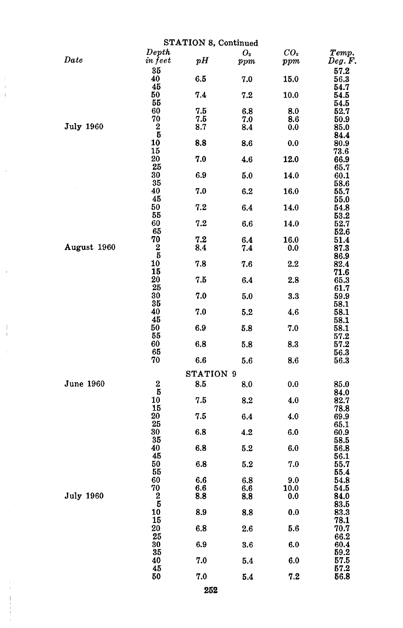|                  |                       | STATION 8, Continued |                |                 |              |
|------------------|-----------------------|----------------------|----------------|-----------------|--------------|
|                  | Depth                 |                      | O <sub>2</sub> | CO <sub>2</sub> | Temp.        |
| Date             | in feet               | pH                   | ppm            | ppm             | Deg. F.      |
|                  | 35                    |                      |                |                 | 57.2         |
|                  | 40                    | 6.5                  | 7.0            | 15.0            | 56.3         |
|                  | 45                    |                      |                |                 | 54.7         |
|                  | 50                    | 7.4                  | 7.2            | 10.0            | 54.5         |
|                  | 55                    |                      |                |                 | 54.5         |
|                  | 60                    | 7.5                  | 6.8            | 8.0             | 52.7         |
|                  | 70                    | 7.5                  | 7.0            | 8.6             | 50.9         |
| <b>July 1960</b> | $\boldsymbol{2}$<br>Б | 8.7                  | 8.4            | $_{0.0}$        | 85.0         |
|                  | 10                    | 8.8                  | 8.6            | 0.0             | 84.4<br>80.9 |
|                  | 15                    |                      |                |                 | 73.6         |
|                  | 20                    | 7.0                  | 4.6            | 12.0            | 66.9         |
|                  | 25                    |                      |                |                 | 65.7         |
|                  | 30                    | 6.9                  | 5.0            | 14.0            | 60.1         |
|                  | 35                    |                      |                |                 | 58.6         |
|                  | 40                    | 7.0                  | 6.2            | 16.0            | 55.7         |
|                  | 45                    |                      |                |                 | 55.0         |
|                  | 50                    | 7.2                  | 6.4            | 14.0            | 54.8         |
|                  | 55                    |                      |                |                 | 53.2         |
|                  | 60<br>65              | 7.2                  | 6.6            | 14.0            | 52.7         |
|                  | 70                    | 7.2                  |                |                 | 52.6         |
| August 1960      | 2                     | 8.4                  | 6.4<br>7.4     | 16.0<br>0.0     | 51.4<br>87.3 |
|                  | 5                     |                      |                |                 | 86.9         |
|                  | 10                    | 7.8                  | 7.6            | $2.2\,$         | 82.4         |
|                  | 15                    |                      |                |                 | 71.6         |
|                  | 20                    | 7.5                  | 6.4            | 2.8             | 65.3         |
|                  | 25                    |                      |                |                 | 61.7         |
|                  | 30                    | 7.0                  | 5.0            | 3.3             | 59.9         |
|                  | 35                    |                      |                |                 | 58.1         |
|                  | 40                    | 7.0                  | 5.2            | 4.6             | 58.1         |
|                  | 45                    |                      |                |                 | 58.1         |
|                  | 50                    | 6.9                  | 5.8            | 7.0             | 58.1         |
|                  | 55<br>60              |                      |                |                 | 57.2         |
|                  | 65                    | 6.8                  | 5.8            | 8.3             | 57.2<br>56.3 |
|                  | 70                    | 6.6                  | 5.6            | 8.6             | 56.3         |
|                  |                       |                      |                |                 |              |
|                  |                       | STATION 9            |                |                 |              |
| June 1960        | $\boldsymbol{2}$      | 8.5                  | 8.0            | 0.0             | 85.0         |
|                  | 5                     |                      |                |                 | 84.0         |
|                  | 10                    | 7.5                  | 8.2            | 4.0             | 82.7         |
|                  | 15                    |                      |                |                 | 78.8         |
|                  | 20                    | 7.5                  | 6.4            | 4.0             | 69.9         |
|                  | 25                    |                      |                |                 | 65.1         |
|                  | 30                    | 6.8                  | 4.2            | 6.0             | 60.9         |
|                  | 35<br>40              |                      |                |                 | 58.5         |
|                  | 45                    | 6.8                  | 5.2            | 6.0             | 56.8<br>56.1 |
|                  | 50                    | 6.8                  | 5.2            | 7.0             | 55.7         |
|                  | 55                    |                      |                |                 | 55.4         |
|                  | 60                    | 6.6                  | 6.8            | 9.0             | 54.8         |
|                  | 70                    | 6.6                  | 6.6            | 10.0            | 54.5         |
| <b>July 1960</b> | $\boldsymbol{2}$      | 8.8                  | 8.8            | 0.0             | 84.0         |
|                  | 5                     |                      |                |                 | 83.5         |
|                  | 10                    | 8.9                  | 8.8            | 0.0             | 83.3         |
|                  | 15                    |                      |                |                 | 78.1         |
|                  | 20                    | 6.8                  | 2.6            | 5.6             | 70.7         |
|                  | 25                    |                      |                |                 | 66.2         |
|                  | 30                    | 6.9                  | 3.6            | 6.0             | 60.4         |
|                  | 35<br>40              | 7.0                  |                | 6.0             | 59.2<br>57.5 |
|                  | 45                    |                      | 5.4            |                 | 57.2         |
|                  | 50                    | 7.0                  | 5.4            | 7.2             | 56.8         |
|                  |                       |                      |                |                 |              |
|                  |                       | 252                  |                |                 |              |

J.  $\overline{\phantom{a}}$  $\overline{1}$ 

 $\ddot{\phantom{a}}$ 

 $\bar{1}$ 

Í j.

> $\bar{1}$  $\begin{array}{c} 1 \\ 1 \\ 1 \\ 1 \end{array}$ l,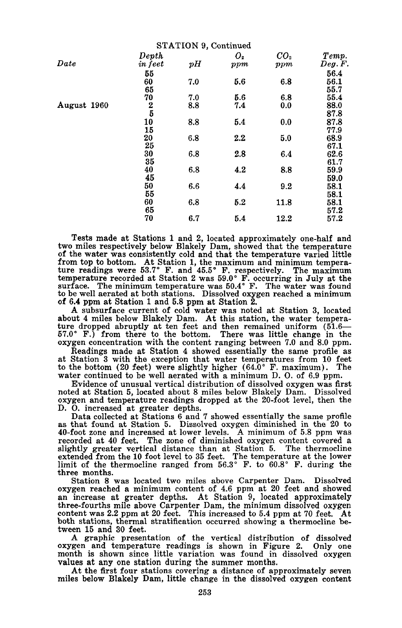|             |                  | <b>STATION 9, Continued</b> |                       |                        |                  |
|-------------|------------------|-----------------------------|-----------------------|------------------------|------------------|
| Date        | Depth<br>in feet | pH                          | O <sub>2</sub><br>ppm | CO <sub>2</sub><br>ppm | Temp.<br>Deg. F. |
|             | 55               |                             |                       |                        | 56.4             |
|             | 60               | 7.0                         | 5.6                   | 6.8                    | 56.1             |
|             | 65               |                             |                       |                        | 55.7             |
|             | 70               | 7.0                         | 5.6                   | 6.8                    | 55.4             |
| August 1960 | $\frac{2}{5}$    | 8.8                         | 7.4                   | 0.0                    | 88.0             |
|             |                  |                             |                       |                        | 87.8             |
|             | 10               | 8.8                         | 5.4                   | 0.0                    | 87.8             |
|             | 15               |                             |                       |                        | 77.9             |
|             | 20               | 6.8                         | $2.2\,$               | 5.0                    | 68.9             |
|             | 25               |                             |                       |                        | 67.1             |
|             | 30               | 6.8                         | 2.8                   | 6.4                    | 62.6             |
|             | 35               |                             |                       |                        | 61.7             |
|             | 40               | 6.8                         | 4.2                   | 8.8                    | 59.9             |
|             | 45               |                             |                       |                        | 59.0             |
|             | 50               | 6.6                         | 4.4                   | 9.2                    | 58.1             |
|             | 55               |                             |                       |                        | 58.1             |
|             | 60               | 6.8                         | 5.2                   | 11.8                   | 58.1             |
|             | 65               |                             |                       |                        | 57.2             |
|             | 70               | 6.7                         | 5.4                   | 12.2                   | 57.2             |

Tests made at Stations 1 and 2, located approximately one-half and two miles respectively below Blakely Dam, showed that the temperature of the water was consistently cold and that the temperature varied little from top to bottom. At Station 1, the maximum and minimum tempera-ture readings were 53.7° F. and 45.5° F. respectively. The maximum temperature recorded at Station 2 was 59.0° F. occurring in July at the surface. The minimum temperature was 50.4° F. The water was found to be well aerated at both stations. Dissolved oxygen reached a minimum of 6.4 ppm at Station 1 and 5.8 ppm at Station 2.

A subsurface current of cold water was noted at Station 3, located about 4 miles below Blakely Dam. At this station, the water tempera-<br>ture dropped abruptly at ten feet and then remained uniform (51.6—<br>57.0° F.) from there to the bottom. There was little change in the oxygen concentration with the content ranging between 7.0 and 8.0 ppm.

Readings made at Station 4 showed essentially the same profile as at Station 3 with the exception that water temperatures from 10 feet to the bottom (20 feet) were slightly higher  $(64.0^{\circ} \text{ F. maximum})$ . The water continued to be well aerated with a minimum D. O. of 6.9 ppm.

Evidence of unusual vertical distribution of dissolved oxygen was first noted at Station 5, located about 8 miles below Blakely Dam. Dissolved oxygen and temperature readings dropped at the 20-foot level, then the D. O. increased at greater depths.<br>Data collected at Stations 6 and 7 showed essentially the same profile

as that found at Station 5. Dissolved oxygen diminished in the 20 to 40-foot zone and increased at lower levels. A minimum of 5.8 ppm was 40-foot zone and increased at lower levels. <sup>A</sup> minimum of 5.8 ppm was recorded at <sup>40</sup> feet. The zone of diminished oxygen content covered <sup>a</sup> slightly greater vertical distance than at Station 5. The thermocline extended from the 10 foot level to 35 feet. The temperature at the lower limit of the thermocline ranged from  $56.3^{\circ}$  F. to  $60.8^{\circ}$  F. during the three months.

Station 8 was located two miles above Carpenter Dam. Dissolved oxygen reached a minimum content of 4.6 ppm at 20 feet and showed an increase at greater depths. At Station 9, located approximately three-fourths mile above Carpenter Dam, the minimum dissolved oxygen content was 2.2 ppm at 20 feet. This increased to 5.4 ppm at 70 feet. At both stations, thermal stratification occurred showing a thermocline between 15 and 30 feet.

A graphic presentation of the vertical distribution of dissolved oxygen and temperature readings is shown in Figure 2. Only one month is shown since little variation was found in dissolved oxygen month is shown since little variation was found in dissolved oxygen values at any one station during the summer months.<br>At the first four stations covering a distance of approximately seven

miles below Blakely Dam, little change in the dissolved oxygen content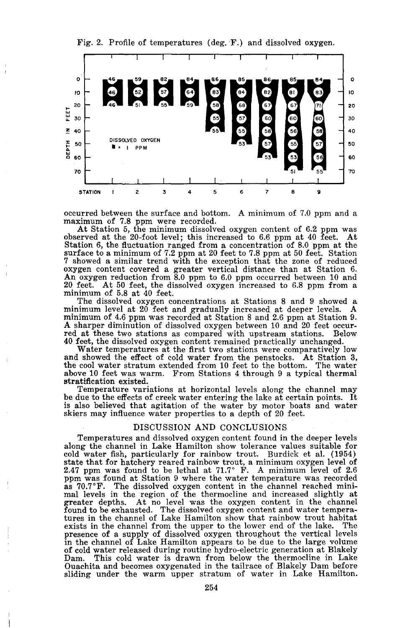Fig. 2. Profile of temperatures (deg. F.) and dissolved oxygen.



occurred between the surface and bottom. <sup>A</sup> minimum of 7.0 ppm and <sup>a</sup> maximum of 7.8 ppm were recorded.

At Station 5, the minimum dissolved oxygen content of 6.2 ppm was observed at the 20-foot level; this increased to 6.6 ppm at <sup>40</sup> feet. At Station 6, the fluctuation ranged from a concentration of 8.0 ppm at the surface to a minimum of 7.2 ppm at 20 feet to 7.8 ppm at 50 feet. Station 7 showed a similar trend with the exception that the zone of reduced oxygen content covered a greater vertical distance than at Station 6. An oxygen reduction from 8.0 ppm to 6.0 ppm occurred between 10 and <sup>20</sup> feet. At <sup>50</sup> feet, the dissolved oxygen increased to 6.8 ppm from <sup>a</sup> minimum of 5.8 at <sup>40</sup> feet.

minimum level at 20 feet and gradually increased at deeper levels. minimum of 4.6 ppm was recorded at Station 8 and 2.6 ppm at Station 9. <sup>A</sup> sharper diminution of dissolved oxygen between <sup>10</sup> and <sup>20</sup> feet occur- red at these two stations as compared with upstream stations. Below 40 feet, the dissolved oxygen content remained practically unchanged.

Water temperatures at the first two stations were comparatively low and showed the effect of cold water from the penstocks. At Station 3, the cool water stratum extended from 10 feet to the bottom. The water above 10 feet was warm. From Stations 4 through 9 a typical thermal stratification existed.

Temperature variations at horizontal levels along the channel may be due to the effects of creek water entering the lake at certain points. It is also believed that agitation of the water by motor boats and water skiers may influence water properties to a depth of 20 feet.

#### DISCUSSION AND CONCLUSIONS

Temperatures and dissolved oxygen content found in the deeper levels along the channel in Lake Hamilton show tolerance values suitable for cold water fish, particularly for rainbow trout. Burdick et a1. (1954) state that for hatchery reared rainbow trout, a minimum oxygen level of 2.6<br>2.47 ppm was found to be lethal at 71.7° F. A minimum level of 2.6 ppm was found at Station <sup>9</sup> where the water temperature was recorded as 70.7°F. The dissolved oxygen content in the channel reached minimal levels in the region of the thermocline and increased slightly at greater depths. At no level was the oxygen content in the channel found to be exhausted. The dissolved oxygen content and water temperatures in the channel of Lake Hamilton show that rainbow trout habitat exists in the channel from the upper to the lower end of the lake. The exists in the channel from the upper to the lower end of the lake. presence of a supply of dissolved oxygen throughout the vertical levels in the channel of Lake Hamilton appears to be due to the large volume of cold water released during routine hydro-electric generation at Blakely<br>Dam. This cold water is drawn from below the thermocline in Lake This cold water is drawn from below the thermocline in Lake Ouachita and becomes oxygenated in the tailrace of Blakely Dam before sliding under the warm upper stratum of water in Lake Hamilton.